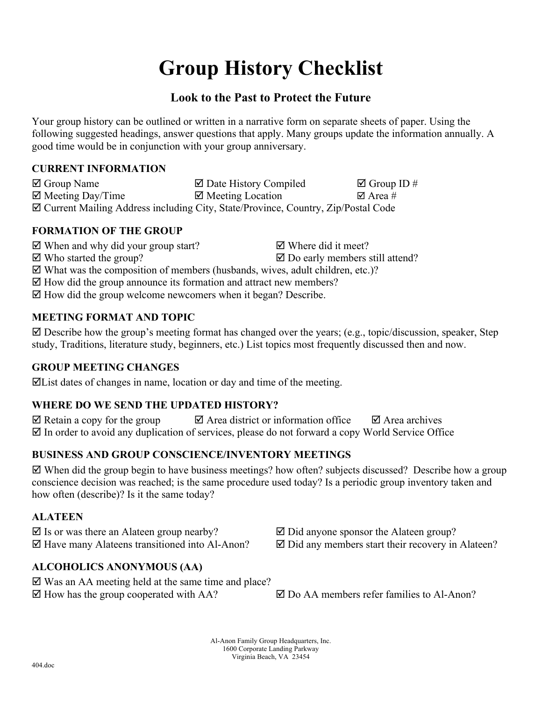# **Group History Checklist**

# **Look to the Past to Protect the Future**

Your group history can be outlined or written in a narrative form on separate sheets of paper. Using the following suggested headings, answer questions that apply. Many groups update the information annually. A good time would be in conjunction with your group anniversary.

## **CURRENT INFORMATION**

| $\boxtimes$ Group Name       | $\boxtimes$ Date History Compiled                                                  | $\boxtimes$ Group ID # |
|------------------------------|------------------------------------------------------------------------------------|------------------------|
| $\boxtimes$ Meeting Day/Time | $\boxtimes$ Meeting Location                                                       | ⊠ Area #               |
|                              | ⊠ Current Mailing Address including City, State/Province, Country, Zip/Postal Code |                        |

## **FORMATION OF THE GROUP**

 $\boxtimes$  When and why did your group start?  $\boxtimes$  Where did it meet?  $\boxtimes$  Who started the group?  $\boxtimes$  Do early members still attend?

 $\boxtimes$  What was the composition of members (husbands, wives, adult children, etc.)?

 $\boxtimes$  How did the group announce its formation and attract new members?

 $\boxtimes$  How did the group welcome newcomers when it began? Describe.

# **MEETING FORMAT AND TOPIC**

 $\boxtimes$  Describe how the group's meeting format has changed over the years; (e.g., topic/discussion, speaker, Step study, Traditions, literature study, beginners, etc.) List topics most frequently discussed then and now.

## **GROUP MEETING CHANGES**

 $\Xi$ List dates of changes in name, location or day and time of the meeting.

# **WHERE DO WE SEND THE UPDATED HISTORY?**

 $\boxtimes$  Retain a copy for the group  $\boxtimes$  Area district or information office  $\boxtimes$  Area archives  $\boxtimes$  In order to avoid any duplication of services, please do not forward a copy World Service Office

# **BUSINESS AND GROUP CONSCIENCE/INVENTORY MEETINGS**

 When did the group begin to have business meetings? how often? subjects discussed? Describe how a group conscience decision was reached; is the same procedure used today? Is a periodic group inventory taken and how often (describe)? Is it the same today?

## **ALATEEN**

 $\boxtimes$  Is or was there an Alateen group nearby?  $\boxtimes$  Did anyone sponsor the Alateen group?

# **ALCOHOLICS ANONYMOUS (AA)**

 $\boxtimes$  Was an AA meeting held at the same time and place?  $\boxtimes$  How has the group cooperated with AA?  $\boxtimes$  Do AA members refer families to Al-Anon?

 $\boxtimes$  Have many Alateens transitioned into Al-Anon?  $\boxtimes$  Did any members start their recovery in Alateen?

Al-Anon Family Group Headquarters, Inc. 1600 Corporate Landing Parkway Virginia Beach, VA 23454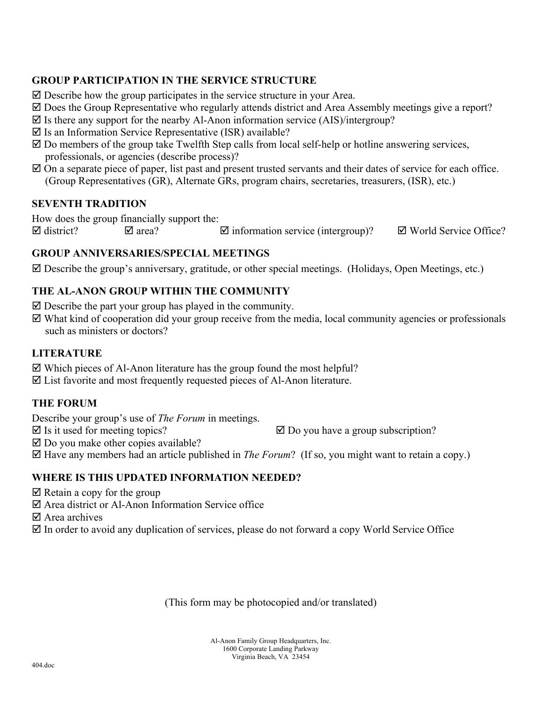## **GROUP PARTICIPATION IN THE SERVICE STRUCTURE**

- $\boxtimes$  Describe how the group participates in the service structure in your Area.
- Does the Group Representative who regularly attends district and Area Assembly meetings give a report?
- $\boxtimes$  Is there any support for the nearby Al-Anon information service (AIS)/intergroup?
- $\boxtimes$  Is an Information Service Representative (ISR) available?
- $\boxtimes$  Do members of the group take Twelfth Step calls from local self-help or hotline answering services, professionals, or agencies (describe process)?
- $\boxtimes$  On a separate piece of paper, list past and present trusted servants and their dates of service for each office. (Group Representatives (GR), Alternate GRs, program chairs, secretaries, treasurers, (ISR), etc.)

#### **SEVENTH TRADITION**

How does the group financially support the:

 $\boxtimes$  district?  $\boxtimes$  area?  $\boxtimes$  information service (intergroup)?  $\boxtimes$  World Service Office?

#### **GROUP ANNIVERSARIES/SPECIAL MEETINGS**

 $\boxtimes$  Describe the group's anniversary, gratitude, or other special meetings. (Holidays, Open Meetings, etc.)

### **THE AL-ANON GROUP WITHIN THE COMMUNITY**

- $\boxtimes$  Describe the part your group has played in the community.
- What kind of cooperation did your group receive from the media, local community agencies or professionals such as ministers or doctors?

#### **LITERATURE**

- $\boxtimes$  Which pieces of Al-Anon literature has the group found the most helpful?
- List favorite and most frequently requested pieces of Al-Anon literature.

#### **THE FORUM**

Describe your group's use of *The Forum* in meetings.

 $\boxtimes$  Is it used for meeting topics?  $\boxtimes$  Do you have a group subscription?

 $\boxtimes$  Do you make other copies available?

Have any members had an article published in *The Forum*? (If so, you might want to retain a copy.)

#### **WHERE IS THIS UPDATED INFORMATION NEEDED?**

- $\boxtimes$  Retain a copy for the group
- Area district or Al-Anon Information Service office
- $\nabla$  Area archives
- $\boxtimes$  In order to avoid any duplication of services, please do not forward a copy World Service Office

(This form may be photocopied and/or translated)